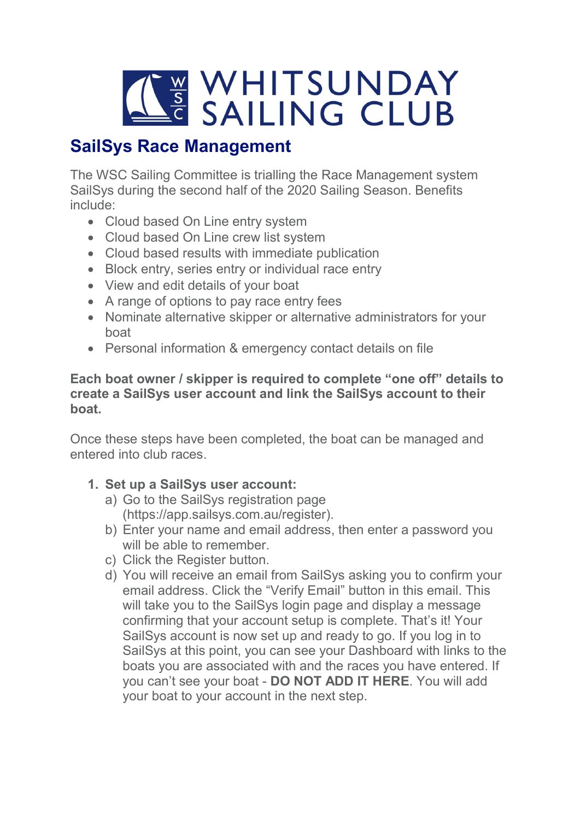

# SailSys Race Management

The WSC Sailing Committee is trialling the Race Management system SailSys during the second half of the 2020 Sailing Season. Benefits include:

- Cloud based On Line entry system
- Cloud based On Line crew list system
- Cloud based results with immediate publication
- Block entry, series entry or individual race entry
- View and edit details of your boat
- A range of options to pay race entry fees
- Nominate alternative skipper or alternative administrators for your boat
- Personal information & emergency contact details on file

#### Each boat owner / skipper is required to complete "one off" details to create a SailSys user account and link the SailSys account to their boat.

Once these steps have been completed, the boat can be managed and entered into club races.

## 1. Set up a SailSys user account:

- a) Go to the SailSys registration page (https://app.sailsys.com.au/register).
- b) Enter your name and email address, then enter a password you will be able to remember.
- c) Click the Register button.
- d) You will receive an email from SailSys asking you to confirm your email address. Click the "Verify Email" button in this email. This will take you to the SailSys login page and display a message confirming that your account setup is complete. That's it! Your SailSys account is now set up and ready to go. If you log in to SailSys at this point, you can see your Dashboard with links to the boats you are associated with and the races you have entered. If you can't see your boat - DO NOT ADD IT HERE. You will add your boat to your account in the next step.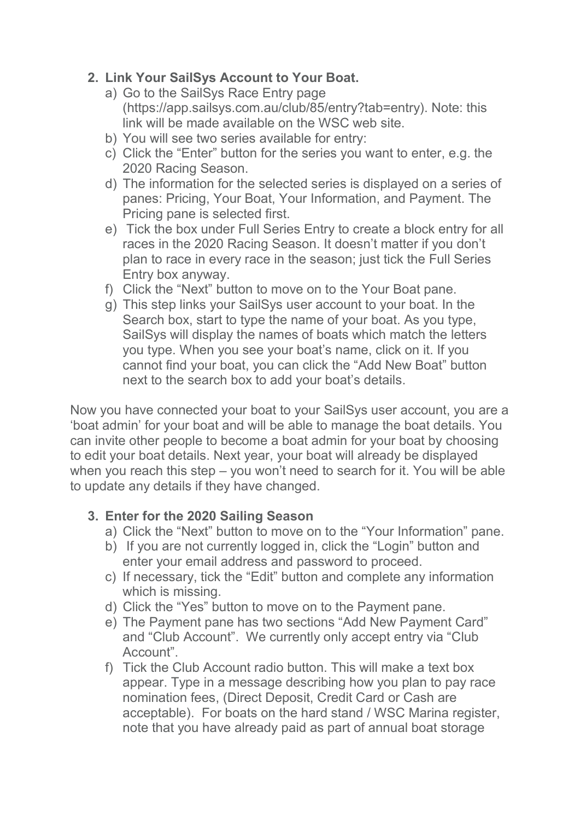### 2. Link Your SailSys Account to Your Boat.

- a) Go to the SailSys Race Entry page (https://app.sailsys.com.au/club/85/entry?tab=entry). Note: this link will be made available on the WSC web site.
- b) You will see two series available for entry:
- c) Click the "Enter" button for the series you want to enter, e.g. the 2020 Racing Season.
- d) The information for the selected series is displayed on a series of panes: Pricing, Your Boat, Your Information, and Payment. The Pricing pane is selected first.
- e) Tick the box under Full Series Entry to create a block entry for all races in the 2020 Racing Season. It doesn't matter if you don't plan to race in every race in the season; just tick the Full Series Entry box anyway.
- f) Click the "Next" button to move on to the Your Boat pane.
- g) This step links your SailSys user account to your boat. In the Search box, start to type the name of your boat. As you type, SailSys will display the names of boats which match the letters you type. When you see your boat's name, click on it. If you cannot find your boat, you can click the "Add New Boat" button next to the search box to add your boat's details.

Now you have connected your boat to your SailSys user account, you are a 'boat admin' for your boat and will be able to manage the boat details. You can invite other people to become a boat admin for your boat by choosing to edit your boat details. Next year, your boat will already be displayed when you reach this step – you won't need to search for it. You will be able to update any details if they have changed.

#### 3. Enter for the 2020 Sailing Season

- a) Click the "Next" button to move on to the "Your Information" pane.
- b) If you are not currently logged in, click the "Login" button and enter your email address and password to proceed.
- c) If necessary, tick the "Edit" button and complete any information which is missing.
- d) Click the "Yes" button to move on to the Payment pane.
- e) The Payment pane has two sections "Add New Payment Card" and "Club Account". We currently only accept entry via "Club Account".
- f) Tick the Club Account radio button. This will make a text box appear. Type in a message describing how you plan to pay race nomination fees, (Direct Deposit, Credit Card or Cash are acceptable). For boats on the hard stand / WSC Marina register, note that you have already paid as part of annual boat storage